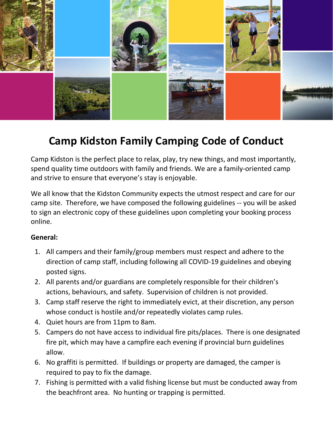

# Camp Kidston Family Camping Code of Conduct

Camp Kidston is the perfect place to relax, play, try new things, and most importantly, spend quality time outdoors with family and friends. We are a family-oriented camp and strive to ensure that everyone's stay is enjoyable.

We all know that the Kidston Community expects the utmost respect and care for our camp site. Therefore, we have composed the following guidelines -- you will be asked to sign an electronic copy of these guidelines upon completing your booking process online.

#### General:

- 1. All campers and their family/group members must respect and adhere to the direction of camp staff, including following all COVID-19 guidelines and obeying posted signs.
- 2. All parents and/or guardians are completely responsible for their children's actions, behaviours, and safety. Supervision of children is not provided.
- 3. Camp staff reserve the right to immediately evict, at their discretion, any person whose conduct is hostile and/or repeatedly violates camp rules.
- 4. Quiet hours are from 11pm to 8am.
- 5. Campers do not have access to individual fire pits/places. There is one designated fire pit, which may have a campfire each evening if provincial burn guidelines allow.
- 6. No graffiti is permitted. If buildings or property are damaged, the camper is required to pay to fix the damage.
- 7. Fishing is permitted with a valid fishing license but must be conducted away from the beachfront area. No hunting or trapping is permitted.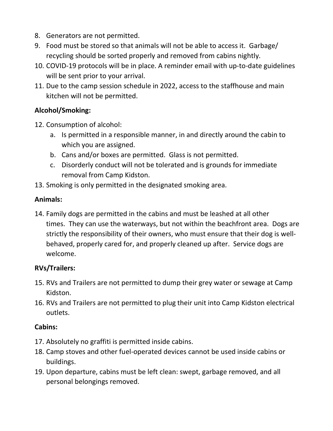- 8. Generators are not permitted.
- 9. Food must be stored so that animals will not be able to access it. Garbage/ recycling should be sorted properly and removed from cabins nightly.
- 10. COVID-19 protocols will be in place. A reminder email with up-to-date guidelines will be sent prior to your arrival.
- 11. Due to the camp session schedule in 2022, access to the staffhouse and main kitchen will not be permitted.

## Alcohol/Smoking:

- 12. Consumption of alcohol:
	- a. Is permitted in a responsible manner, in and directly around the cabin to which you are assigned.
	- b. Cans and/or boxes are permitted. Glass is not permitted.
	- c. Disorderly conduct will not be tolerated and is grounds for immediate removal from Camp Kidston.
- 13. Smoking is only permitted in the designated smoking area.

#### Animals:

14. Family dogs are permitted in the cabins and must be leashed at all other times. They can use the waterways, but not within the beachfront area. Dogs are strictly the responsibility of their owners, who must ensure that their dog is wellbehaved, properly cared for, and properly cleaned up after. Service dogs are welcome.

#### RVs/Trailers:

- 15. RVs and Trailers are not permitted to dump their grey water or sewage at Camp Kidston.
- 16. RVs and Trailers are not permitted to plug their unit into Camp Kidston electrical outlets.

#### Cabins:

- 17. Absolutely no graffiti is permitted inside cabins.
- 18. Camp stoves and other fuel-operated devices cannot be used inside cabins or buildings.
- 19. Upon departure, cabins must be left clean: swept, garbage removed, and all personal belongings removed.